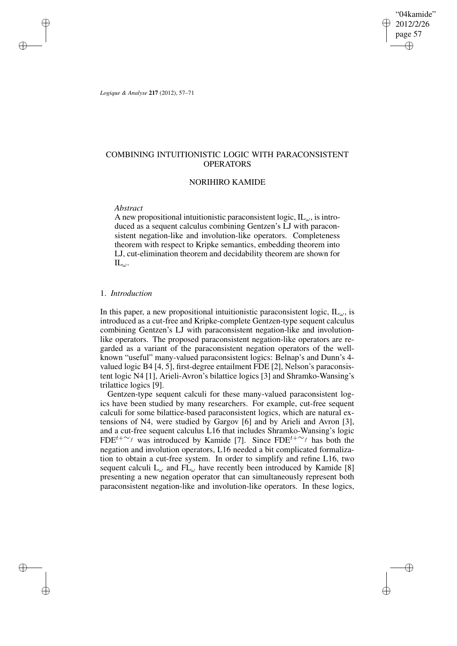"04kamide" 2012/2/26 page 57 ✐ ✐

✐

✐

*Logique & Analyse* **217** (2012), 57–71

✐

✐

✐

✐

# COMBINING INTUITIONISTIC LOGIC WITH PARACONSISTENT OPERATORS

# NORIHIRO KAMIDE

## *Abstract*

A new propositional intuitionistic paraconsistent logic,  $IL_{\omega}$ , is introduced as a sequent calculus combining Gentzen's LJ with paraconsistent negation-like and involution-like operators. Completeness theorem with respect to Kripke semantics, embedding theorem into LJ, cut-elimination theorem and decidability theorem are shown for  $\mathbf{IL}_{\omega}$ .

## 1. *Introduction*

In this paper, a new propositional intuitionistic paraconsistent logic,  $IL_{\omega}$ , is introduced as a cut-free and Kripke-complete Gentzen-type sequent calculus combining Gentzen's LJ with paraconsistent negation-like and involutionlike operators. The proposed paraconsistent negation-like operators are regarded as a variant of the paraconsistent negation operators of the wellknown "useful" many-valued paraconsistent logics: Belnap's and Dunn's 4 valued logic B4 [4, 5], first-degree entailment FDE [2], Nelson's paraconsistent logic N4 [1], Arieli-Avron's bilattice logics [3] and Shramko-Wansing's trilattice logics [9].

Gentzen-type sequent calculi for these many-valued paraconsistent logics have been studied by many researchers. For example, cut-free sequent calculi for some bilattice-based paraconsistent logics, which are natural extensions of N4, were studied by Gargov [6] and by Arieli and Avron [3], and a cut-free sequent calculus L16 that includes Shramko-Wansing's logic FDE<sup> $t+\sim_f$ </sup> was introduced by Kamide [7]. Since FDE<sup> $t+\sim_f$ </sup> has both the negation and involution operators, L16 needed a bit complicated formalization to obtain a cut-free system. In order to simplify and refine L16, two sequent calculi  $L_{\omega}$  and  $FL_{\omega}$  have recently been introduced by Kamide [8] presenting a new negation operator that can simultaneously represent both paraconsistent negation-like and involution-like operators. In these logics,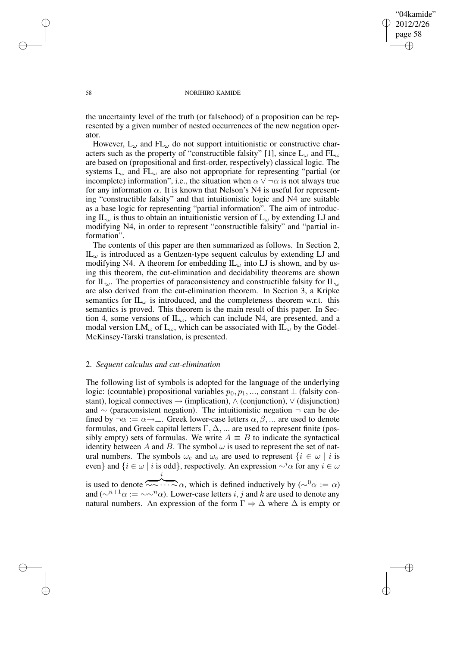✐

### 58 NORIHIRO KAMIDE

the uncertainty level of the truth (or falsehood) of a proposition can be represented by a given number of nested occurrences of the new negation operator.

However,  $L_{\omega}$  and  $FL_{\omega}$  do not support intuitionistic or constructive characters such as the property of "constructible falsity" [1], since  $L_{\omega}$  and  $FL_{\omega}$ are based on (propositional and first-order, respectively) classical logic. The systems  $L_{\omega}$  and  $FL_{\omega}$  are also not appropriate for representing "partial (or incomplete) information", i.e., the situation when  $\alpha \vee \neg \alpha$  is not always true for any information  $\alpha$ . It is known that Nelson's N4 is useful for representing "constructible falsity" and that intuitionistic logic and N4 are suitable as a base logic for representing "partial information". The aim of introducing IL $_{\omega}$  is thus to obtain an intuitionistic version of L $_{\omega}$  by extending LJ and modifying N4, in order to represent "constructible falsity" and "partial information".

The contents of this paper are then summarized as follows. In Section 2,  $IL_{\omega}$  is introduced as a Gentzen-type sequent calculus by extending LJ and modifying N4. A theorem for embedding  $IL_{\omega}$  into LJ is shown, and by using this theorem, the cut-elimination and decidability theorems are shown for IL<sub>ω</sub>. The properties of paraconsistency and constructible falsity for IL<sub>ω</sub> are also derived from the cut-elimination theorem. In Section 3, a Kripke semantics for  $IL_{\omega}$  is introduced, and the completeness theorem w.r.t. this semantics is proved. This theorem is the main result of this paper. In Section 4, some versions of  $IL_{\omega}$ , which can include N4, are presented, and a modal version  $LM_{\omega}$  of  $L_{\omega}$ , which can be associated with  $IL_{\omega}$  by the Gödel-McKinsey-Tarski translation, is presented.

# 2. *Sequent calculus and cut-elimination*

The following list of symbols is adopted for the language of the underlying logic: (countable) propositional variables  $p_0, p_1, \ldots$ , constant  $\perp$  (falsity constant), logical connectives  $\rightarrow$  (implication),  $\land$  (conjunction),  $\lor$  (disjunction) and ∼ (paraconsistent negation). The intuitionistic negation ¬ can be defined by  $\neg \alpha := \alpha \rightarrow \bot$ . Greek lower-case letters  $\alpha, \beta, \dots$  are used to denote formulas, and Greek capital letters  $\Gamma, \Delta, \dots$  are used to represent finite (possibly empty) sets of formulas. We write  $A \equiv B$  to indicate the syntactical identity between A and B. The symbol  $\omega$  is used to represent the set of natural numbers. The symbols  $\omega_e$  and  $\omega_o$  are used to represent  $\{i \in \omega \mid i \text{ is }$ even} and  $\{i \in \omega \mid i \text{ is odd}\},$  respectively. An expression  $\sim^{i} \alpha$  for any  $i \in \omega$ is used to denote  $\overline{\sim} \cdots \sim \alpha$ , which is defined inductively by  $(\sim^0 \alpha := \alpha)$ i

and ( $\sim^{n+1} \alpha := \sim \sim^n \alpha$ ). Lower-case letters i, j and k are used to denote any natural numbers. An expression of the form  $\Gamma \Rightarrow \Delta$  where  $\Delta$  is empty or

✐

✐

✐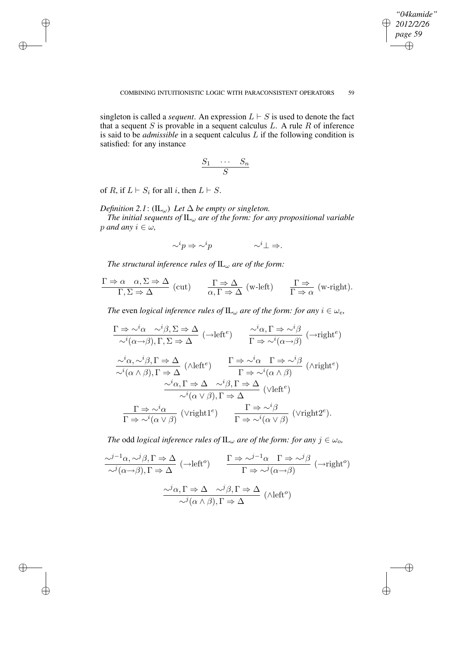$\oplus$ 

✐

singleton is called a *sequent*. An expression  $L \vdash S$  is used to denote the fact that a sequent  $S$  is provable in a sequent calculus  $L$ . A rule  $R$  of inference is said to be *admissible* in a sequent calculus L if the following condition is satisfied: for any instance

$$
\frac{S_1 \cdots S_n}{S}
$$

of R, if  $L \vdash S_i$  for all i, then  $L \vdash S$ .

✐

✐

✐

✐

*Definition* 2.1: (IL<sub>ω</sub>) *Let*  $\Delta$  *be empty or singleton.* 

*The initial sequents of* IL<sup>ω</sup> *are of the form: for any propositional variable p and any*  $i \in \omega$ *,* 

$$
\sim^i p \Rightarrow \sim^i p \qquad \qquad \sim^i \bot \Rightarrow.
$$

*The structural inference rules of*  $IL_{\omega}$  *are of the form:* 

$$
\frac{\Gamma \Rightarrow \alpha \quad \alpha, \Sigma \Rightarrow \Delta}{\Gamma, \Sigma \Rightarrow \Delta} \text{ (cut)} \qquad \frac{\Gamma \Rightarrow \Delta}{\alpha, \Gamma \Rightarrow \Delta} \text{ (w-left)} \qquad \frac{\Gamma \Rightarrow}{\Gamma \Rightarrow \alpha} \text{ (w-right)}.
$$

*The* even *logical inference rules of*  $IL_{\omega}$  *are of the form: for any*  $i \in \omega_e$ *,* 

$$
\frac{\Gamma \Rightarrow \sim^{i}\alpha \quad \sim^{i}\beta, \Sigma \Rightarrow \Delta}{\sim^{i}(\alpha \to \beta), \Gamma, \Sigma \Rightarrow \Delta} (\to \text{left}^{e}) \qquad \frac{\sim^{i}\alpha, \Gamma \Rightarrow \sim^{i}\beta}{\Gamma \Rightarrow \sim^{i}(\alpha \to \beta)} (\to \text{right}^{e})
$$

$$
\frac{\sim^{i}\alpha, \sim^{i}\beta, \Gamma \Rightarrow \Delta}{\sim^{i}(\alpha \land \beta), \Gamma \Rightarrow \Delta} (\land \text{left}^{e}) \qquad \frac{\Gamma \Rightarrow \sim^{i}\alpha \quad \Gamma \Rightarrow \sim^{i}\beta}{\Gamma \Rightarrow \sim^{i}(\alpha \land \beta)} (\land \text{right}^{e})
$$

$$
\frac{\sim^{i}\alpha, \Gamma \Rightarrow \Delta}{\sim^{i}(\alpha \lor \beta), \Gamma \Rightarrow \Delta} (\lor \text{left}^{e})
$$

$$
\frac{\Gamma \Rightarrow \sim^{i}\alpha}{\sim^{i}(\alpha \lor \beta), \Gamma \Rightarrow \Delta} (\lor \text{left}^{e})
$$

$$
\frac{\Gamma \Rightarrow \sim^{i}\alpha}{\Gamma \Rightarrow \sim^{i}(\alpha \lor \beta)} (\lor \text{right}^{e}) \qquad \frac{\Gamma \Rightarrow \sim^{i}\beta}{\Gamma \Rightarrow \sim^{i}(\alpha \lor \beta)} (\lor \text{right}^{e}).
$$

*The* odd *logical inference rules of*  $IL_{\omega}$  *are of the form: for any*  $j \in \omega_o$ ,

$$
\frac{\sqrt{1-\alpha}, \sqrt{1-\beta}, \Gamma \Rightarrow \Delta}{\sqrt{1-\alpha}, \Gamma \Rightarrow \Delta} \quad (\to \text{left}^o) \qquad \frac{\Gamma \Rightarrow \sqrt{1-\alpha}, \Gamma \Rightarrow \sqrt{1-\beta}}{\Gamma \Rightarrow \sqrt{1-\alpha}, \Gamma \Rightarrow \Delta} \quad (\to \text{right}^o)
$$

$$
\frac{\sqrt{1-\alpha}, \Gamma \Rightarrow \Delta}{\sqrt{1-\alpha}, \Gamma \Rightarrow \Delta} \qquad \frac{\sqrt{1-\alpha}, \Gamma \Rightarrow \Delta}{\sqrt{1-\alpha}, \Gamma \Rightarrow \Delta} \quad (\text{left}^o)
$$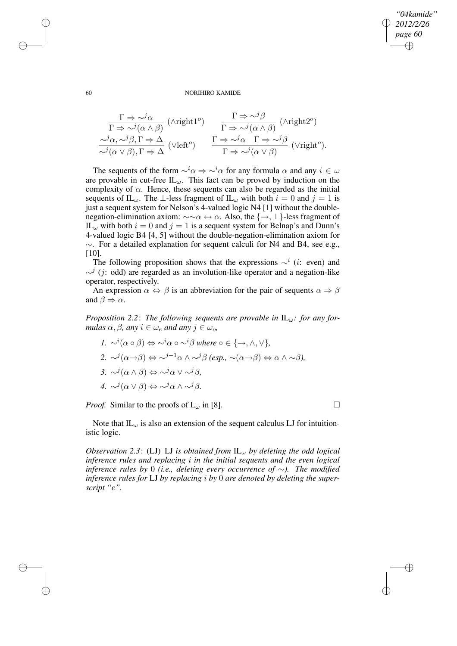✐

### 60 NORIHIRO KAMIDE

$$
\frac{\Gamma \Rightarrow \sim^{j} \alpha}{\Gamma \Rightarrow \sim^{j} (\alpha \land \beta)} \quad (\wedge \text{right1}^o) \qquad \frac{\Gamma \Rightarrow \sim^{j} \beta}{\Gamma \Rightarrow \sim^{j} (\alpha \land \beta)} \quad (\wedge \text{right2}^o)
$$
\n
$$
\frac{\sim^{j} \alpha, \sim^{j} \beta, \Gamma \Rightarrow \Delta}{\sim^{j} (\alpha \lor \beta), \Gamma \Rightarrow \Delta} \quad (\vee \text{left}^o) \qquad \frac{\Gamma \Rightarrow \sim^{j} \alpha \quad \Gamma \Rightarrow \sim^{j} \beta}{\Gamma \Rightarrow \sim^{j} (\alpha \lor \beta)} \quad (\vee \text{right}^o).
$$

The sequents of the form  $\sim^i \alpha \Rightarrow \sim^i \alpha$  for any formula  $\alpha$  and any  $i \in \omega$ are provable in cut-free  $IL_{\omega}$ . This fact can be proved by induction on the complexity of  $\alpha$ . Hence, these sequents can also be regarded as the initial sequents of IL<sub>ω</sub>. The ⊥-less fragment of IL<sub>ω</sub> with both  $i = 0$  and  $j = 1$  is just a sequent system for Nelson's 4-valued logic N4 [1] without the doublenegation-elimination axiom:  $\sim \alpha \leftrightarrow \alpha$ . Also, the  $\{\rightarrow, \perp\}$ -less fragment of IL<sub>ω</sub> with both  $i = 0$  and  $j = 1$  is a sequent system for Belnap's and Dunn's 4-valued logic B4 [4, 5] without the double-negation-elimination axiom for ∼. For a detailed explanation for sequent calculi for N4 and B4, see e.g.,  $[10]$ .

The following proposition shows that the expressions  $\sim^{i}$  (*i*: even) and  $\sim$ <sup>j</sup> (j: odd) are regarded as an involution-like operator and a negation-like operator, respectively.

An expression  $\alpha \Leftrightarrow \beta$  is an abbreviation for the pair of sequents  $\alpha \Rightarrow \beta$ and  $\beta \Rightarrow \alpha$ .

*Proposition* 2.2: *The following sequents are provable in*  $IL_{\omega}$ : *for any formulas*  $\alpha, \beta$ *, any*  $i \in \omega_e$  *and any*  $j \in \omega_o$ *,* 

\n- 1. 
$$
\sim^{i}(\alpha \circ \beta) \Leftrightarrow \sim^{i} \alpha \circ \sim^{i} \beta
$$
 where  $\circ \in \{ \rightarrow, \land, \lor \}$ ,
\n- 2.  $\sim^{j}(\alpha \rightarrow \beta) \Leftrightarrow \sim^{j-1} \alpha \land \sim^{j} \beta$  (esp.,  $\sim(\alpha \rightarrow \beta) \Leftrightarrow \alpha \land \sim \beta$ ),
\n- 3.  $\sim^{j}(\alpha \land \beta) \Leftrightarrow \sim^{j} \alpha \lor \sim^{j} \beta$ ,
\n- 4.  $\sim^{j}(\alpha \lor \beta) \Leftrightarrow \sim^{j} \alpha \land \sim^{j} \beta$ .
\n

*Proof.* Similar to the proofs of  $L_{\omega}$  in [8].

Note that  $IL_{\omega}$  is also an extension of the sequent calculus LJ for intuitionistic logic.

*Observation 2.3*: (LJ) LJ *is obtained from* IL<sup>ω</sup> *by deleting the odd logical inference rules and replacing* i *in the initial sequents and the even logical inference rules by* 0 *(i.e., deleting every occurrence of* ∼*). The modified inference rules for* LJ *by replacing* i *by* 0 *are denoted by deleting the superscript "*e*".*

✐

✐

✐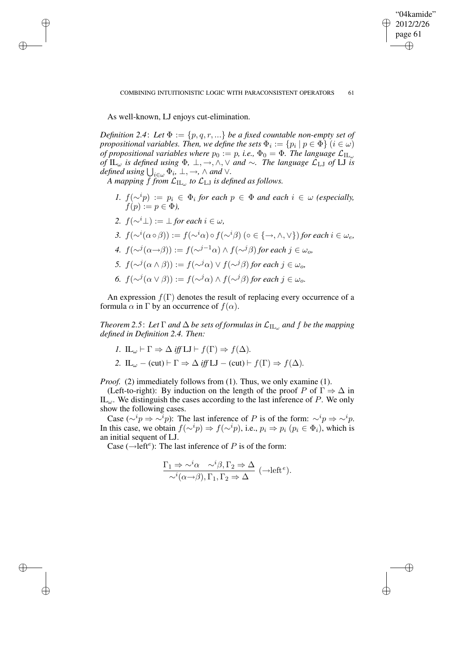✐

As well-known, LJ enjoys cut-elimination.

✐

✐

✐

✐

*Definition* 2.4: Let  $\Phi := \{p, q, r, ...\}$  *be a fixed countable non-empty set of propositional variables. Then, we define the sets*  $\Phi_i := \{p_i \mid p \in \Phi\}$   $(i \in \omega)$ *of* propositional variables where  $p_0 := p$ , *i.e.*,  $\Phi_0 = \Phi$ . The language  $\mathcal{L}_{\mathrm{IL}_{\omega}}$ *of*  $IL_{\omega}$  *is defined using*  $\Phi$ ,  $\bot$ ,  $\rightarrow$ ,  $\wedge$ ,  $\vee$  *and*  $\sim$ . *The language*  $\mathcal{L}_{LJ}$  *of*  $LI$  *is*  $\phi$ *defined using*  $\bigcup_{i \in \omega} \Phi_i$ ,  $\bot$ ,  $\rightarrow$ ,  $\wedge$  *and*  $\vee$ *.* 

*A* mapping  $f$  from  $\mathcal{L}_{\text{IL}_\omega}$  to  $\mathcal{L}_{\text{LI}}$  is defined as follows.

- *1.*  $f(\sim^i p) := p_i \in \Phi_i$  for each  $p \in \Phi$  and each  $i \in \omega$  (especially,  $f(p) := p \in \Phi$ ),
- *2.*  $f(\sim^i \perp) := \perp$  *for each*  $i \in \omega$ *,*
- *3.*  $f(\sim^{i}(\alpha \circ \beta)) := f(\sim^{i}\alpha) \circ f(\sim^{i}\beta)$  (∘∈ {→, ∧, ∨}) for each  $i \in \omega_e$ , *4.*  $f(\sim^{j}(\alpha \rightarrow \beta)) := f(\sim^{j-1}\alpha) \land f(\sim^{j}\beta)$  *for each*  $j \in \omega_o$ *, 5.*  $f(\sim^{j}(\alpha \wedge \beta)) := f(\sim^{j}\alpha) \vee f(\sim^{j}\beta)$  *for each*  $j \in \omega_o$ *,*
- *6.*  $f(\sim^{j}(\alpha \vee \beta)) := f(\sim^{j}\alpha) \wedge f(\sim^{j}\beta)$  *for each*  $j \in \omega_o$ *.*

An expression  $f(\Gamma)$  denotes the result of replacing every occurrence of a formula  $\alpha$  in  $\Gamma$  by an occurrence of  $f(\alpha)$ .

*Theorem* 2.5: Let  $\Gamma$  *and*  $\Delta$  *be sets of formulas in*  $\mathcal{L}_{\text{IL}_\omega}$  *and*  $f$  *be the mapping defined in Definition 2.4. Then:*

- *1.*  $IL_{\omega} \vdash \Gamma \Rightarrow \Delta \text{ iff } LI \vdash f(\Gamma) \Rightarrow f(\Delta)$ .
- 2. IL<sub>ω</sub> (cut)  $\vdash \Gamma \Rightarrow \Delta$  *iff* LJ (cut)  $\vdash f(\Gamma) \Rightarrow f(\Delta)$ .

*Proof.* (2) immediately follows from (1). Thus, we only examine (1).

(Left-to-right): By induction on the length of the proof P of  $\Gamma \Rightarrow \Delta$  in  $IL_{\omega}$ . We distinguish the cases according to the last inference of P. We only show the following cases.

Case ( $\sim^i p \Rightarrow \sim^i p$ ): The last inference of P is of the form:  $\sim^i p \Rightarrow \sim^i p$ . In this case, we obtain  $f(\sim^i p) \Rightarrow f(\sim^i p)$ , i.e.,  $p_i \Rightarrow p_i$  ( $p_i \in \Phi_i$ ), which is an initial sequent of LJ.

Case ( $\rightarrow$ left<sup>e</sup>): The last inference of P is of the form:

$$
\frac{\Gamma_1 \Rightarrow \sim^i \alpha \quad \sim^i \beta, \Gamma_2 \Rightarrow \Delta}{\sim^i(\alpha \to \beta), \Gamma_1, \Gamma_2 \Rightarrow \Delta} \ (\to \text{left}^e).
$$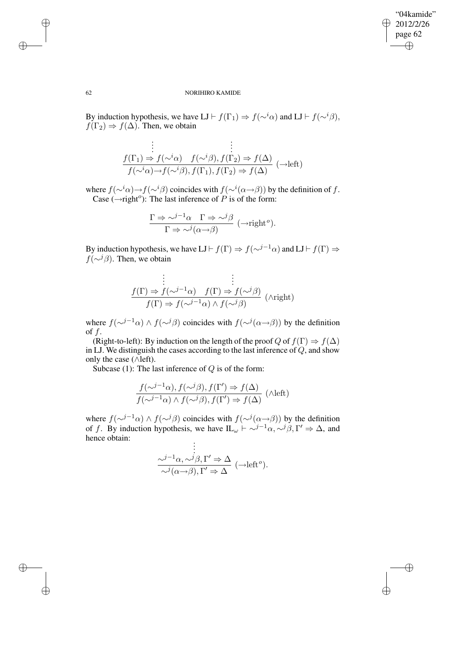$\oplus$ 

✐

## 62 NORIHIRO KAMIDE

By induction hypothesis, we have LJ  $\vdash f(\Gamma_1) \Rightarrow f(\sim^i \alpha)$  and LJ  $\vdash f(\sim^i \beta)$ ,  $f(\Gamma_2) \Rightarrow f(\Delta)$ . Then, we obtain

$$
\begin{array}{c}\n\vdots \\
f(\Gamma_1) \Rightarrow f(\sim^i \alpha) \quad f(\sim^i \beta), f(\Gamma_2) \Rightarrow f(\Delta) \\
f(\sim^i \alpha) \rightarrow f(\sim^i \beta), f(\Gamma_1), f(\Gamma_2) \Rightarrow f(\Delta)\n\end{array} (\rightarrow \text{left})
$$

where  $f(\sim^i \alpha) \rightarrow f(\sim^i \beta)$  coincides with  $f(\sim^i (\alpha \rightarrow \beta))$  by the definition of f. Case  $(\rightarrow$ right<sup>o</sup>): The last inference of P is of the form:

$$
\frac{\Gamma \Rightarrow \sim^{j-1} \alpha \quad \Gamma \Rightarrow \sim^{j} \beta}{\Gamma \Rightarrow \sim^{j} (\alpha \rightarrow \beta)} \ (\rightarrow right^o).
$$

By induction hypothesis, we have LJ  $\vdash f(\Gamma) \Rightarrow f(\sim^{j-1} \alpha)$  and LJ  $\vdash f(\Gamma) \Rightarrow$  $f(\sim^{j} \beta)$ . Then, we obtain

$$
\frac{\begin{array}{l}\n\vdots \\
f(\Gamma) \Rightarrow f(\sim^{j-1}\alpha) \quad f(\Gamma) \Rightarrow f(\sim^{j}\beta) \\
f(\Gamma) \Rightarrow f(\sim^{j-1}\alpha) \land f(\sim^{j}\beta)\n\end{array}(\land \text{right})
$$

where  $f(\sim^{j-1}\alpha) \wedge f(\sim^{j}\beta)$  coincides with  $f(\sim^{j}(\alpha \rightarrow \beta))$  by the definition of  $f$ .

(Right-to-left): By induction on the length of the proof Q of  $f(\Gamma) \Rightarrow f(\Delta)$ in LJ. We distinguish the cases according to the last inference of  $Q$ , and show only the case (∧left).

Subcase (1): The last inference of  $Q$  is of the form:

$$
\frac{f(\sim^{j-1}\alpha), f(\sim^{j}\beta), f(\Gamma') \Rightarrow f(\Delta)}{f(\sim^{j-1}\alpha) \land f(\sim^{j}\beta), f(\Gamma') \Rightarrow f(\Delta)} \quad (\text{Aleft})
$$

where  $f(\sim^{j-1}\alpha) \wedge f(\sim^{j}\beta)$  coincides with  $f(\sim^{j}(\alpha \rightarrow \beta))$  by the definition of f. By induction hypothesis, we have  $\mathop{\rm IL}_{\omega} \vdash \sim^{j-1} \alpha, \sim^{j} \beta, \Gamma' \Rightarrow \Delta$ , and hence obtain: . .

$$
\vdots
$$
\n
$$
\frac{\sim^{j-1}\alpha, \sim^{j}\beta, \Gamma' \Rightarrow \Delta}{\sim^{j}(\alpha \to \beta), \Gamma' \Rightarrow \Delta} (\to \text{left}^{\circ}).
$$

✐

✐

✐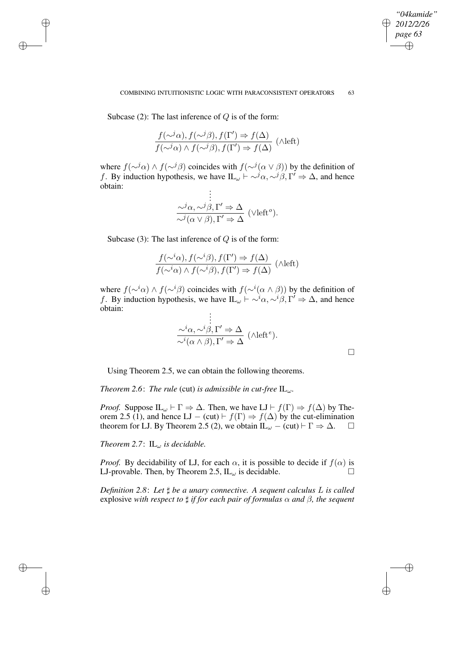## COMBINING INTUITIONISTIC LOGIC WITH PARACONSISTENT OPERATORS 63

*"04kamide" 2012/2/26 page 63*

✐

✐

✐

✐

Subcase (2): The last inference of  $Q$  is of the form:

✐

✐

✐

✐

$$
\frac{f(\sim^j\alpha), f(\sim^j\beta), f(\Gamma') \Rightarrow f(\Delta)}{f(\sim^j\alpha) \land f(\sim^j\beta), f(\Gamma') \Rightarrow f(\Delta)} \quad (\wedge \text{left})
$$

where  $f(\sim^j \alpha) \wedge f(\sim^j \beta)$  coincides with  $f(\sim^j (\alpha \vee \beta))$  by the definition of f. By induction hypothesis, we have  $IL_{\omega} \rightharpoonup \sim \rightharpoonup \rightharpoonup \rightharpoonup \rightharpoonup \rightharpoonup \rightharpoonup \rightharpoonup \rightharpoonup \rightharpoonup \rightharpoonup \rightharpoonup \rightharpoonup \rightharpoonup \rightharpoonup \rightharpoonup \rightharpoonup \rightharpoonup \rightharpoonup \rightharpoonup \rightharpoonup \rightharpoonup \rightharpoonup \rightharpoonup \rightharpoonup \rightharpoonup \rightharpoonup \rightharpoonup \rightharpoonup \righth$ obtain: . .

$$
\frac{\partial^j \alpha, \sim^j \beta, \Gamma' \Rightarrow \Delta}{\sim^j (\alpha \vee \beta), \Gamma' \Rightarrow \Delta} \text{ (Vlefto).}
$$

Subcase (3): The last inference of  $Q$  is of the form:

$$
\frac{f(\sim^i \alpha), f(\sim^i \beta), f(\Gamma') \Rightarrow f(\Delta)}{f(\sim^i \alpha) \land f(\sim^i \beta), f(\Gamma') \Rightarrow f(\Delta)} \text{ (lambda)}
$$

where  $f(\sim^i \alpha) \wedge f(\sim^i \beta)$  coincides with  $f(\sim^i (\alpha \wedge \beta))$  by the definition of f. By induction hypothesis, we have  $IL_{\omega} \rightharpoonup \sim^i \alpha, \sim^i \beta, \Gamma' \Rightarrow \Delta$ , and hence obtain: . .

$$
\frac{\sim^i \alpha, \sim^i \beta, \Gamma' \Rightarrow \Delta}{\sim^i(\alpha \wedge \beta), \Gamma' \Rightarrow \Delta} \quad (\wedge \text{left}^e).
$$

Using Theorem 2.5, we can obtain the following theorems.

*Theorem* 2.6: *The rule* (cut) *is admissible in cut-free*  $\mathbb{L}_{\omega}$ *.* 

*Proof.* Suppose  $IL_{\omega} \vdash \Gamma \Rightarrow \Delta$ . Then, we have  $LI \vdash f(\Gamma) \Rightarrow f(\Delta)$  by Theorem 2.5 (1), and hence LJ – (cut)  $\vdash f(\Gamma) \Rightarrow f(\Delta)$  by the cut-elimination theorem for LJ. By Theorem 2.5 (2), we obtain  $IL_{\omega} - (cut) \vdash \Gamma \Rightarrow \Delta$ .  $\Box$ 

*Theorem* 2.7:  $IL_{\omega}$  *is decidable.* 

*Proof.* By decidability of LJ, for each  $\alpha$ , it is possible to decide if  $f(\alpha)$  is LJ-provable. Then, by Theorem 2.5,  $IL_{\omega}$  is decidable.

*Definition 2.8*: *Let* ] *be a unary connective. A sequent calculus* L *is called* explosive *with respect to*  $\sharp$  *if for each pair of formulas*  $\alpha$  *and*  $\beta$ *, the sequent*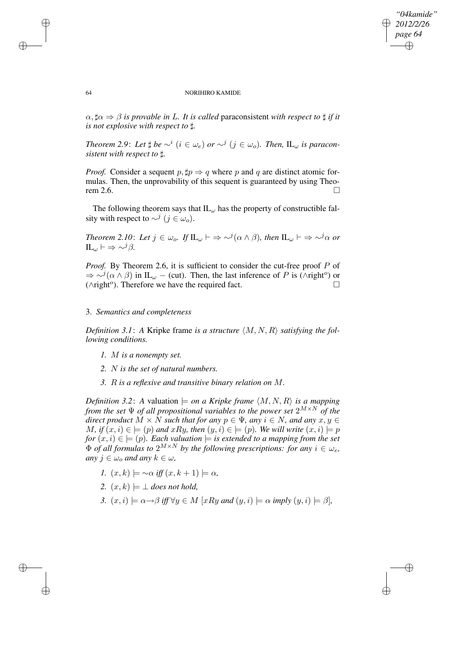## *"04kamide" 2012/2/26 page 64* ✐ ✐

✐

✐

#### 64 NORIHIRO KAMIDE

 $\alpha$ ,  $\sharp \alpha \Rightarrow \beta$  *is provable in L. It is called paraconsistent with respect to*  $\sharp$  *if it is not explosive with respect to* ]*.*

*Theorem* 2.9: Let  $\sharp$  be  $\sim^{i}$  ( $i \in \omega_e$ ) or  $\sim^{j}$  ( $j \in \omega_o$ ). Then, IL<sub> $\omega$ </sub> is paracon*sistent with respect to* ]*.*

*Proof.* Consider a sequent  $p, \sharp p \Rightarrow q$  where p and q are distinct atomic formulas. Then, the unprovability of this sequent is guaranteed by using Theorem 2.6.  $\Box$ 

The following theorem says that  $IL_{\omega}$  has the property of constructible falsity with respect to  $\sim^{j}$  ( $j \in \omega_o$ ).

*Theorem 2.10: Let*  $j \in \omega_o$ *. If*  $\mathbb{IL}_\omega \vdash \Rightarrow \sim^j(\alpha \wedge \beta)$ *, then*  $\mathbb{IL}_\omega \vdash \Rightarrow \sim^j\alpha$  *or*  $IL_{\omega} \vdash \Rightarrow \sim^{j} \beta$ .

*Proof.* By Theorem 2.6, it is sufficient to consider the cut-free proof P of  $\Rightarrow \sim^{j}(\alpha \wedge \beta)$  in IL<sub>ω</sub> – (cut). Then, the last inference of P is ( $\wedge$ right<sup>o</sup>) or ( $\wedge$ right<sup>o</sup>). Therefore we have the required fact.  $□$ 

## 3. *Semantics and completeness*

*Definition* 3.1: A Kripke frame *is a structure*  $\langle M, N, R \rangle$  *satisfying the following conditions.*

- *1.* M *is a nonempty set.*
- *2.* N *is the set of natural numbers.*
- *3.* R *is a reflexive and transitive binary relation on* M*.*

*Definition* 3.2: A valuation  $\models$  *on a Kripke frame*  $\langle M, N, R \rangle$  *is a mapping from the set*  $\Psi$  *of all propositional variables to the power set*  $2^{M \times N}$  *of the direct product*  $M \times N$  *such that for any*  $p \in \Psi$ *, any*  $i \in N$ *, and any*  $x, y \in \Psi$ *M*, *if*  $(x, i) \in \models (p)$  *and*  $xRy$ , *then*  $(y, i) \in \models (p)$ *. We will write*  $(x, i) \models p$  $for (x, i) \in \models (p)$ *. Each valuation*  $\models$  *is extended to a mapping from the set*  $\Phi$  *of all formulas to*  $2^{M \times N}$  *by the following prescriptions: for any*  $i \in \omega_e$ ,  $any$   $j \in \omega_0$  *and*  $any$   $k \in \omega$ ,

- *1.*  $(x, k) \models \sim \alpha$  *iff*  $(x, k + 1) \models \alpha$ ,
- 2.  $(x, k) \models \bot$  *does not hold,*
- *3.*  $(x, i) \models \alpha \rightarrow \beta$  *iff*  $\forall y \in M$  [xRy and  $(y, i) \models \alpha$  *imply*  $(y, i) \models \beta$ ]*,*

✐

✐

✐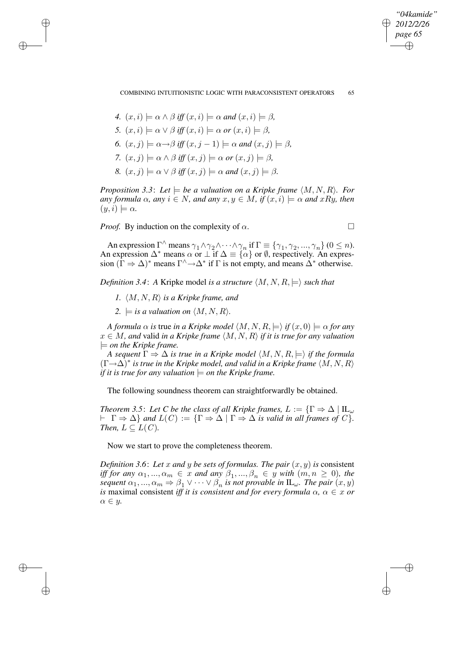✐

### COMBINING INTUITIONISTIC LOGIC WITH PARACONSISTENT OPERATORS 65

- 4.  $(x, i) \models \alpha \land \beta$  *iff*  $(x, i) \models \alpha$  *and*  $(x, i) \models \beta$ .
- *5.*  $(x, i) \models \alpha \lor \beta$  *iff*  $(x, i) \models \alpha$  *or*  $(x, i) \models \beta$ ,

✐

✐

✐

✐

- 6.  $(x, j) \models \alpha \rightarrow \beta$  *iff*  $(x, j 1) \models \alpha$  *and*  $(x, j) \models \beta$ .
- *7.*  $(x, j) \models \alpha \land \beta$  *iff*  $(x, j) \models \alpha$  *or*  $(x, j) \models \beta$ ,
- *8.*  $(x, j) \models \alpha \lor \beta$  *iff*  $(x, j) \models \alpha$  *and*  $(x, j) \models \beta$ *.*

*Proposition* 3.3: Let  $\models$  *be a valuation on a Kripke frame*  $\langle M, N, R \rangle$ *. For*  $a_n$  *any*  $f$ ormula  $\alpha$ ,  $a_n$   $i \in N$ ,  $a_n$   $a_n$   $a_n$   $x$ ,  $y \in M$ ,  $if$   $(x, i) \models \alpha$  and  $xRy$ , then  $(y,i) \models \alpha$ .

*Proof.* By induction on the complexity of  $\alpha$ .

An expression  $\Gamma^{\wedge}$  means  $\gamma_1 \wedge \gamma_2 \wedge \cdots \wedge \gamma_n$  if  $\Gamma \equiv \{\gamma_1, \gamma_2, ..., \gamma_n\}$  ( $0 \leq n$ ). An expression  $\Delta^*$  means  $\alpha$  or  $\perp$  if  $\Delta \equiv {\alpha \brace \alpha}$  or  $\emptyset$ , respectively. An expression  $(\Gamma \Rightarrow \Delta)^*$  means  $\Gamma^{\wedge} \rightarrow \Delta^*$  if  $\Gamma$  is not empty, and means  $\Delta^*$  otherwise.

*Definition* 3.4: A Kripke model *is a structure*  $\langle M, N, R \rangle \models \rangle$  *such that* 

- *1.*  $\langle M, N, R \rangle$  *is a Kripke frame, and*
- 2.  $\models$  *is a valuation on*  $\langle M, N, R \rangle$ *.*

*A formula*  $\alpha$  *is* true *in a Kripke model*  $\langle M, N, R \rangle \models \rangle$  *if*  $(x, 0) \models \alpha$  *for any*  $x \in M$ , and valid *in* a *Kripke frame*  $\langle M, N, R \rangle$  *if it is true for any valuation* |= *on the Kripke frame.*

*A* sequent  $\Gamma \Rightarrow \Delta$  *is true in a Kripke model*  $\langle M, N, R \rangle \Rightarrow$  *if the formula*  $(\Gamma \rightarrow \Delta)^*$  is true in the Kripke model, and valid in a Kripke frame  $\langle M, N, R \rangle$ *if it is true for any valuation*  $\models$  *on the Kripke frame.* 

The following soundness theorem can straightforwardly be obtained.

*Theorem* 3.5: Let *C be the class of all Kripke frames,*  $L := \{ \Gamma \Rightarrow \Delta \mid \Pi_{\omega} \}$  $\vdash \Gamma \Rightarrow \Delta$  *and*  $L(C) := {\Gamma \Rightarrow \Delta \mid \Gamma \Rightarrow \Delta \text{ is valid in all frames of } C}.$ *Then,*  $L \subseteq L(C)$ *.* 

Now we start to prove the completeness theorem.

*Definition* 3.6: Let x and y be sets of formulas. The pair  $(x, y)$  is consistent *iff* for any  $\alpha_1, ..., \alpha_m \in x$  and any  $\beta_1, ..., \beta_n \in y$  *with*  $(m, n \ge 0)$ *, the sequent*  $\alpha_1, ..., \alpha_m \Rightarrow \beta_1 \vee \cdots \vee \beta_n$  *is not provable in*  $\mathbb{L}_{\omega}$ *. The pair*  $(x, y)$ *is* maximal consistent *iff it is consistent and for every formula*  $\alpha$ ,  $\alpha \in x$  *or*  $\alpha \in y$ .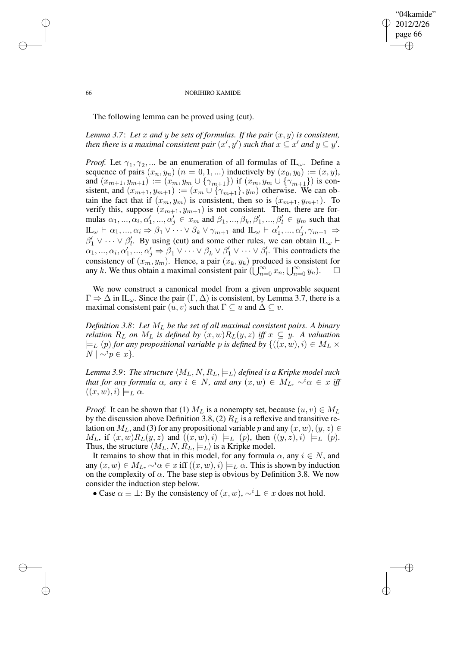"04kamide" 2012/2/26 page 66 ✐ ✐

✐

✐

### 66 NORIHIRO KAMIDE

The following lemma can be proved using (cut).

*Lemma* 3.7: Let x and y be sets of formulas. If the pair  $(x, y)$  is consistent, *then there is a maximal consistent pair*  $(x', y')$  *such that*  $x \subseteq x'$  *and*  $y \subseteq y'$ .

*Proof.* Let  $\gamma_1, \gamma_2, ...$  be an enumeration of all formulas of  $IL_{\omega}$ . Define a sequence of pairs  $(x_n, y_n)$   $(n = 0, 1, ...)$  inductively by  $(x_0, y_0) := (x, y)$ , and  $(x_{m+1}, y_{m+1}) := (x_m, y_m \cup \{\gamma_{m+1}\})$  if  $(x_m, y_m \cup \{\gamma_{m+1}\})$  is consistent, and  $(x_{m+1}, y_{m+1}) := (x_m \cup \{\gamma_{m+1}\}, y_m)$  otherwise. We can obtain the fact that if  $(x_m, y_m)$  is consistent, then so is  $(x_{m+1}, y_{m+1})$ . To verify this, suppose  $(x_{m+1}, y_{m+1})$  is not consistent. Then, there are formulas  $\alpha_1, ..., \alpha_i, \alpha'_1, ..., \alpha'_j \in x_m$  and  $\beta_1, ..., \beta_k, \beta'_1, ..., \beta'_l \in y_m$  such that  $\mathbf{IL}_{\omega} \vdash \alpha_1, ..., \alpha_i \Rightarrow \beta_1 \vee \cdots \vee \beta_k \vee \gamma_{m+1}$  and  $\mathbf{IL}_{\omega} \vdash \alpha'_1, ..., \alpha'_j$  $'_{j}, \gamma_{m+1} \Rightarrow$  $\beta'_1 \vee \cdots \vee \beta'_l$ <sup>l</sup><sub>i</sub>. By using (cut) and some other rules, we can obtain IL<sub>ω</sub>  $\vdash$  $\alpha_1, ..., \alpha_i, \alpha'_1, ..., \alpha'_j \Rightarrow \beta_1 \vee \cdots \vee \beta_k \vee \beta'_1 \vee \cdots \vee \beta'_l$  $\ell$ . This contradicts the consistency of  $(x_m, y_m)$ . Hence, a pair  $(x_k, y_k)$  produced is consistent for any k. We thus obtain a maximal consistent pair  $(\bigcup_{n=0}^{\infty} x_n, \bigcup_{n=0}^{\infty} y_n)$ .

We now construct a canonical model from a given unprovable sequent  $\Gamma \Rightarrow \Delta$  in IL<sub>ω</sub>. Since the pair  $(\Gamma, \Delta)$  is consistent, by Lemma 3.7, there is a maximal consistent pair  $(u, v)$  such that  $\Gamma \subseteq u$  and  $\Delta \subseteq v$ .

*Definition 3.8*: *Let* M<sup>L</sup> *be the set of all maximal consistent pairs. A binary relation*  $R_L$  *on*  $M_L$  *is defined by*  $(x, w)R_L(y, z)$  *iff*  $x \subseteq y$ *. A valuation*  $\models$ <sub>L</sub> (p) for any propositional variable p is defined by  $\{(x, w), i) \in M_L \times$  $N \mid \sim^i p \in x$ .

*Lemma* 3.9: *The structure*  $\langle M_L, N, R_L, \models_L \rangle$  *defined is a Kripke model such that for any formula*  $\alpha$ *, any*  $i \in N$ *, and any*  $(x, w) \in M_L$ ,  $\sim$ <sup>*i*</sup> $\alpha \in x$  *iff*  $((x, w), i) \models_L \alpha$ .

*Proof.* It can be shown that (1)  $M_L$  is a nonempty set, because  $(u, v) \in M_L$ by the discussion above Definition 3.8, (2)  $R<sub>L</sub>$  is a reflexive and transitive relation on  $M_L$ , and (3) for any propositional variable p and any  $(x, w)$ ,  $(y, z) \in$  $M_L$ , if  $(x, w)R_L(y, z)$  and  $((x, w), i) \models_L (p)$ , then  $((y, z), i) \models_L (p)$ . Thus, the structure  $\langle M_L, N, R_L, \models_L \rangle$  is a Kripke model.

It remains to show that in this model, for any formula  $\alpha$ , any  $i \in N$ , and any  $(x, w) \in M_L$ ,  $\sim^i \alpha \in x$  iff  $((x, w), i) \models_L \alpha$ . This is shown by induction on the complexity of  $\alpha$ . The base step is obvious by Definition 3.8. We now consider the induction step below.

• Case  $\alpha \equiv \perp$ : By the consistency of  $(x, w)$ ,  $\sim$ <sup>i</sup> $\perp \in x$  does not hold.

✐

✐

✐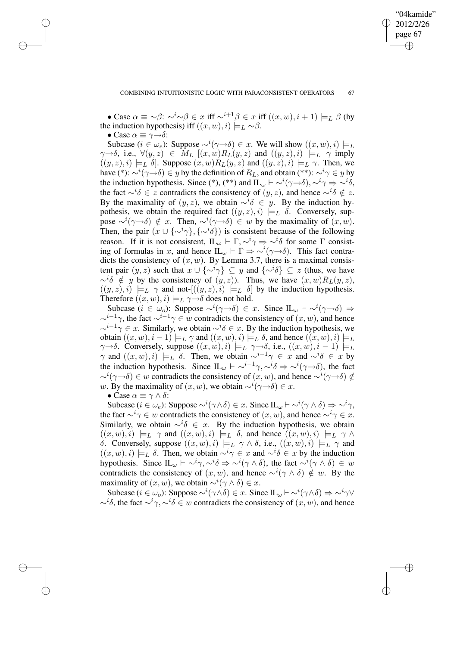✐

"04kamide"

• Case  $\alpha \equiv \neg \beta$ :  $\neg^i \neg \beta \in x$  iff  $\neg^{i+1}\beta \in x$  iff  $((x, w), i + 1) \models_L \beta$  (by the induction hypothesis) iff  $((x, w), i) \models_L \sim \beta$ .

• Case  $\alpha \equiv \gamma \rightarrow \delta$ :

✐

✐

✐

✐

Subcase  $(i \in \omega_e)$ : Suppose  $\sim^{i}(\gamma \rightarrow \delta) \in x$ . We will show  $((x, w), i) \models_L$  $\gamma \rightarrow \delta$ , i.e.,  $\forall (y, z) \in M_L$   $[(x, w)R_L(y, z)$  and  $((y, z), i) \models_L \gamma$  imply  $((y, z), i) \models_L \delta$ . Suppose  $(x, w)R_L(y, z)$  and  $((y, z), i) \models_L \gamma$ . Then, we have (\*):  $\sim^{i}(\gamma \rightarrow \delta) \in y$  by the definition of  $R_L$ , and obtain (\*\*):  $\sim^{i} \gamma \in y$  by the induction hypothesis. Since (\*), (\*\*) and  $\mathbf{IL}_{\omega} \vdash \sim^{i}(\gamma \rightarrow \delta), \sim^{i} \gamma \Rightarrow \sim^{i} \delta$ , the fact  $\sim^{i}\delta \in z$  contradicts the consistency of  $(y, z)$ , and hence  $\sim^{i}\delta \notin z$ . By the maximality of  $(y, z)$ , we obtain  $\sim^{i} \delta \in y$ . By the induction hypothesis, we obtain the required fact  $((y, z), i) \models_L \delta$ . Conversely, suppose  $\sim^{i}(\gamma \rightarrow \delta) \notin x$ . Then,  $\sim^{i}(\gamma \rightarrow \delta) \in w$  by the maximality of  $(x, w)$ . Then, the pair  $(x \cup \{\sim^i \gamma\}, \{\sim^i \delta\})$  is consistent because of the following reason. If it is not consistent,  $\mathbb{L}_{\omega} \vdash \Gamma, \sim^{i} \gamma \Rightarrow \sim^{i} \delta$  for some  $\Gamma$  consisting of formulas in x, and hence  $\mathbb{L}_{\omega} \vdash \Gamma \Rightarrow \sim^{i}(\gamma \rightarrow \delta)$ . This fact contradicts the consistency of  $(x, w)$ . By Lemma 3.7, there is a maximal consistent pair  $(y, z)$  such that  $x \cup \{\sim^i \gamma\} \subseteq y$  and  $\{\sim^i \delta\} \subseteq z$  (thus, we have  $\sim^{i\delta}$  ∉ y by the consistency of  $(y, z)$ ). Thus, we have  $(x, w)R_L(y, z)$ ,  $((y, z), i) \models_L \gamma$  and not- $[(y, z), i) \models_L \delta$  by the induction hypothesis. Therefore  $((x, w), i) \models_L \gamma \rightarrow \delta$  does not hold.

Subcase  $(i \in \omega_o)$ : Suppose  $\sim^{i}(\gamma \rightarrow \delta) \in x$ . Since  $\mathop{\rm IL}_{\omega} \vdash \sim^{i}(\gamma \rightarrow \delta) \Rightarrow$  $\sim^{i-1}\gamma$ , the fact  $\sim^{i-1}\gamma \in w$  contradicts the consistency of  $(x, w)$ , and hence  $\sim^{i-1} \gamma \in x$ . Similarly, we obtain  $\sim^{i} \delta \in x$ . By the induction hypothesis, we obtain  $((x, w), i - 1) \models_L \gamma$  and  $((x, w), i) \models_L \delta$ , and hence  $((x, w), i) \models_L$  $\gamma \rightarrow \delta$ . Conversely, suppose  $((x, w), i) \models_L \gamma \rightarrow \delta$ , i.e.,  $((x, w), i - 1) \models_L$  $\gamma$  and  $((x, w), i) \models_L \delta$ . Then, we obtain  $\sim^{i-1} \gamma \in x$  and  $\sim^{i} \delta \in x$  by the induction hypothesis. Since  $\mathbb{L}_{\omega} \vdash \sim^{i-1} \gamma, \sim^{i} \delta \Rightarrow \sim^{i} (\gamma \rightarrow \delta)$ , the fact  $\sim^{i}(\gamma \rightarrow \delta) \in w$  contradicts the consistency of  $(x, w)$ , and hence  $\sim^{i}(\gamma \rightarrow \delta) \notin$ w. By the maximality of  $(x, w)$ , we obtain  $\sim^{i}(\gamma \rightarrow \delta) \in x$ .

• Case  $\alpha \equiv \gamma \wedge \delta$ :

Subcase ( $i \in \omega_e$ ): Suppose  $\sim^{i}(\gamma \wedge \delta) \in x$ . Since  $\mathop{\rm IL}\nolimits_{\omega} \vdash \sim^{i}(\gamma \wedge \delta) \Rightarrow \sim^{i} \gamma$ , the fact  $\sim^i \gamma \in w$  contradicts the consistency of  $(x, w)$ , and hence  $\sim^i \gamma \in x$ . Similarly, we obtain  $\sim^{i} \delta \in x$ . By the induction hypothesis, we obtain  $((x, w), i) \models_L \gamma$  and  $((x, w), i) \models_L \delta$ , and hence  $((x, w), i) \models_L \gamma \land$ δ. Conversely, suppose  $((x, w), i) \models_L \gamma \land \delta$ , i.e.,  $((x, w), i) \models_L \gamma$  and  $((x, w), i) \models_L \delta$ . Then, we obtain  $\sim^{i} \gamma \in x$  and  $\sim^{i} \delta \in x$  by the induction hypothesis. Since  $\mathbb{L}_{\omega} \vdash \sim^{i} \gamma, \sim^{i} \delta \Rightarrow \sim^{i} (\gamma \wedge \delta)$ , the fact  $\sim^{i} (\gamma \wedge \delta) \in w$ contradicts the consistency of  $(x, w)$ , and hence  $\sim^{i}(\gamma \wedge \delta) \notin w$ . By the maximality of  $(x, w)$ , we obtain  $\sim^{i}(\gamma \wedge \delta) \in x$ .

Subcase ( $i \in \omega_o$ ): Suppose  $\sim^{i}(\gamma \wedge \delta) \in x$ . Since IL $_{\omega} \vdash \sim^{i}(\gamma \wedge \delta) \Rightarrow \sim^{i} \gamma \vee$  $\sim i\delta$ , the fact  $\sim i\gamma$ ,  $\sim i\delta \in w$  contradicts the consistency of  $(x, w)$ , and hence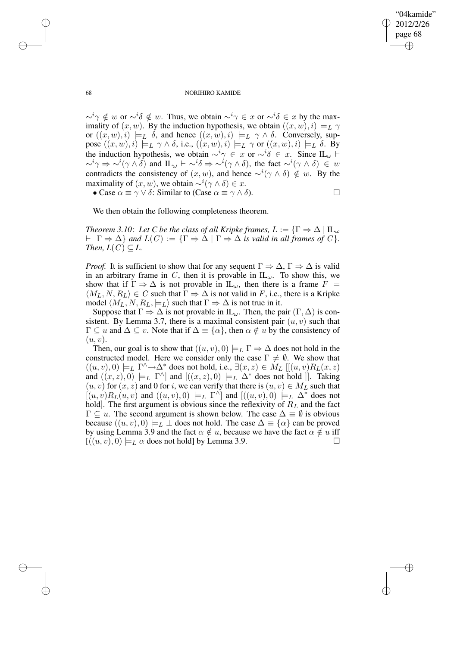✐

#### 68 NORIHIRO KAMIDE

 $\sim^{i} \gamma \notin w$  or  $\sim^{i} \delta \notin w$ . Thus, we obtain  $\sim^{i} \gamma \in x$  or  $\sim^{i} \delta \in x$  by the maximality of  $(x, w)$ . By the induction hypothesis, we obtain  $((x, w), i) \models_L \gamma$ or  $((x, w), i) \models_L \delta$ , and hence  $((x, w), i) \models_L \gamma \wedge \delta$ . Conversely, suppose  $((x, w), i) \models_L \gamma \wedge \delta$ , i.e.,  $((x, w), i) \models_L \gamma$  or  $((x, w), i) \models_L \delta$ . By the induction hypothesis, we obtain  $\sim^{i} \gamma \in x$  or  $\sim^{i} \delta \in x$ . Since IL<sub>ω</sub>  $\vdash$  $\sim^{i} \gamma \Rightarrow \sim^{i} (\gamma \wedge \delta)$  and  $\mathop{\rm IL}\nolimits_{\omega} \vdash \sim^{i} \delta \Rightarrow \sim^{i} (\gamma \wedge \delta)$ , the fact  $\sim^{i} (\gamma \wedge \delta) \in w$ contradicts the consistency of  $(x, w)$ , and hence  $\sim^{i}(\gamma \wedge \delta) \notin w$ . By the maximality of  $(x, w)$ , we obtain  $\sim^{i}(\gamma \wedge \delta) \in x$ .

• Case  $\alpha \equiv \gamma \vee \delta$ : Similar to (Case  $\alpha \equiv \gamma \wedge \delta$ ).

We then obtain the following completeness theorem.

*Theorem* 3.10: Let *C* be the class of all *Kripke* frames,  $L := \{ \Gamma \Rightarrow \Delta \mid \Pi_{\omega} \}$  $\vdash \Gamma \Rightarrow \Delta$  *and*  $L(C) := {\Gamma \Rightarrow \Delta \mid \Gamma \Rightarrow \Delta}$  *is valid in all frames of*  $C$ *}. Then,*  $L(C) \subseteq L$ .

*Proof.* It is sufficient to show that for any sequent  $\Gamma \Rightarrow \Delta$ ,  $\Gamma \Rightarrow \Delta$  is valid in an arbitrary frame in C, then it is provable in  $IL_{\omega}$ . To show this, we show that if  $\Gamma \Rightarrow \Delta$  is not provable in  $IL_{\omega}$ , then there is a frame  $F =$  $\langle M_L, N, R_L \rangle \in C$  such that  $\Gamma \Rightarrow \Delta$  is not valid in F, i.e., there is a Kripke model  $\langle M_L, N, R_L, \models_L \rangle$  such that  $\Gamma \Rightarrow \Delta$  is not true in it.

Suppose that  $\Gamma \Rightarrow \Delta$  is not provable in IL<sub>ω</sub>. Then, the pair  $(\Gamma, \Delta)$  is consistent. By Lemma 3.7, there is a maximal consistent pair  $(u, v)$  such that  $\Gamma \subseteq u$  and  $\Delta \subseteq v$ . Note that if  $\Delta \equiv {\{\alpha\}}$ , then  $\alpha \notin u$  by the consistency of  $(u, v)$ .

Then, our goal is to show that  $((u, v), 0) \models_L \Gamma \Rightarrow \Delta$  does not hold in the constructed model. Here we consider only the case  $\Gamma \neq \emptyset$ . We show that  $((u, v), 0) \models_L \Gamma^\wedge \rightarrow \Delta^*$  does not hold, i.e.,  $\exists (x, z) \in M_L [[(u, v)R_L(x, z)]$ and  $((x, z), 0) \models_L \Gamma^{\wedge}$  and  $[((x, z), 0) \models_L \Delta^*$  does not hold  $]]$ . Taking  $(u, v)$  for  $(x, z)$  and 0 for i, we can verify that there is  $(u, v) \in M<sub>L</sub>$  such that  $[(u, v)R_L(u, v)$  and  $((u, v), 0) \models_L \Gamma^{\wedge}]$  and  $[((u, v), 0) \models_L \Delta^*$  does not hold. The first argument is obvious since the reflexivity of  $R<sub>L</sub>$  and the fact  $\Gamma \subseteq u$ . The second argument is shown below. The case  $\Delta \equiv \emptyset$  is obvious because  $((u, v), 0) \models_L \bot$  does not hold. The case  $\Delta \equiv {\alpha}$  can be proved by using Lemma 3.9 and the fact  $\alpha \notin u$ , because we have the fact  $\alpha \notin u$  iff  $[(u, v), 0) \models_L \alpha$  does not hold] by Lemma 3.9.

✐

✐

✐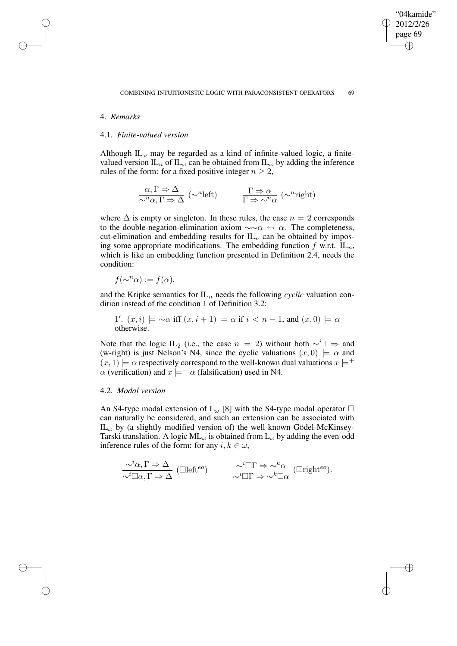✐

# 4. *Remarks*

✐

✐

✐

✐

## 4.1. *Finite-valued version*

Although  $IL_{\omega}$  may be regarded as a kind of infinite-valued logic, a finitevalued version IL<sub>n</sub> of IL<sub>ω</sub> can be obtained from IL<sub>ω</sub> by adding the inference rules of the form: for a fixed positive integer  $n \geq 2$ ,

$$
\frac{\alpha, \Gamma \Rightarrow \Delta}{\sim^n \alpha, \Gamma \Rightarrow \Delta} (\sim^n \text{left}) \qquad \frac{\Gamma \Rightarrow \alpha}{\Gamma \Rightarrow \sim^n \alpha} (\sim^n \text{right})
$$

where  $\Delta$  is empty or singleton. In these rules, the case  $n = 2$  corresponds to the double-negation-elimination axiom  $\sim \alpha \leftrightarrow \alpha$ . The completeness, cut-elimination and embedding results for  $IL_n$  can be obtained by imposing some appropriate modifications. The embedding function  $f$  w.r.t.  $IL_n$ , which is like an embedding function presented in Definition 2.4, needs the condition:

$$
f(\sim^n \alpha) := f(\alpha),
$$

and the Kripke semantics for  $IL_n$  needs the following *cyclic* valuation condition instead of the condition 1 of Definition 3.2:

1'. 
$$
(x, i) \models \neg \alpha
$$
 iff  $(x, i + 1) \models \alpha$  if  $i < n - 1$ , and  $(x, 0) \models \alpha$  otherwise.

Note that the logic IL<sub>2</sub> (i.e., the case  $n = 2$ ) without both  $\sim^{i} \perp \Rightarrow$  and (w-right) is just Nelson's N4, since the cyclic valuations  $(x, 0) \models \alpha$  and  $(x, 1) \models \alpha$  respectively correspond to the well-known dual valuations  $x \models^{+}$  $\alpha$  (verification) and  $x \models^- \alpha$  (falsification) used in N4.

## 4.2. *Modal version*

An S4-type modal extension of L<sub>ω</sub> [8] with the S4-type modal operator  $\Box$ can naturally be considered, and such an extension can be associated with  $IL_{\omega}$  by (a slightly modified version of) the well-known Gödel-McKinsey-Tarski translation. A logic  $ML_{\omega}$  is obtained from  $L_{\omega}$  by adding the even-odd inference rules of the form: for any  $i, k \in \omega$ ,

$$
\frac{\sim^i \alpha, \Gamma \Rightarrow \Delta}{\sim^i \Box \alpha, \Gamma \Rightarrow \Delta} \text{ (Cllefteo)} \qquad \frac{\sim^i \Box \Gamma \Rightarrow \sim^k \alpha}{\sim^i \Box \Gamma \Rightarrow \sim^k \Box \alpha} \text{ (Lrighteo).}
$$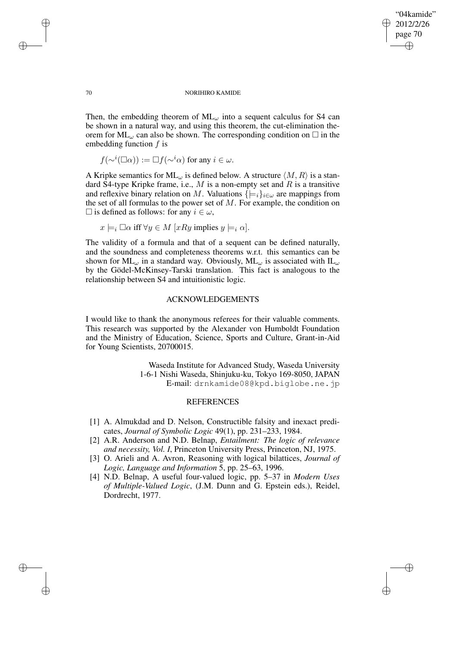"04kamide" 2012/2/26 page 70 ✐ ✐

✐

✐

#### 70 NORIHIRO KAMIDE

Then, the embedding theorem of  $ML_{\omega}$  into a sequent calculus for S4 can be shown in a natural way, and using this theorem, the cut-elimination theorem for  $ML_{\omega}$  can also be shown. The corresponding condition on  $\square$  in the embedding function  $f$  is

$$
f(\sim^i(\Box \alpha)) := \Box f(\sim^i \alpha) \text{ for any } i \in \omega.
$$

A Kripke semantics for ML<sub> $\omega$ </sub> is defined below. A structure  $\langle M, R \rangle$  is a standard S4-type Kripke frame, i.e.,  $M$  is a non-empty set and  $R$  is a transitive and reflexive binary relation on M. Valuations  $\{\models_i\}_{i\in\omega}$  are mappings from the set of all formulas to the power set of  $M$ . For example, the condition on  $□$  is defined as follows: for any *i* ∈ ω,

$$
x \models_i \Box \alpha \text{ iff } \forall y \in M \ [xRy \text{ implies } y \models_i \alpha].
$$

The validity of a formula and that of a sequent can be defined naturally, and the soundness and completeness theorems w.r.t. this semantics can be shown for  $ML_{\omega}$  in a standard way. Obviously,  $ML_{\omega}$  is associated with  $IL_{\omega}$ by the Gödel-McKinsey-Tarski translation. This fact is analogous to the relationship between S4 and intuitionistic logic.

# ACKNOWLEDGEMENTS

I would like to thank the anonymous referees for their valuable comments. This research was supported by the Alexander von Humboldt Foundation and the Ministry of Education, Science, Sports and Culture, Grant-in-Aid for Young Scientists, 20700015.

> Waseda Institute for Advanced Study, Waseda University 1-6-1 Nishi Waseda, Shinjuku-ku, Tokyo 169-8050, JAPAN E-mail: drnkamide08@kpd.biglobe.ne.jp

# **REFERENCES**

- [1] A. Almukdad and D. Nelson, Constructible falsity and inexact predicates, *Journal of Symbolic Logic* 49(1), pp. 231–233, 1984.
- [2] A.R. Anderson and N.D. Belnap, *Entailment: The logic of relevance and necessity, Vol. I*, Princeton University Press, Princeton, NJ, 1975.
- [3] O. Arieli and A. Avron, Reasoning with logical bilattices, *Journal of Logic, Language and Information* 5, pp. 25–63, 1996.
- [4] N.D. Belnap, A useful four-valued logic, pp. 5–37 in *Modern Uses of Multiple-Valued Logic*, (J.M. Dunn and G. Epstein eds.), Reidel, Dordrecht, 1977.

✐

✐

✐